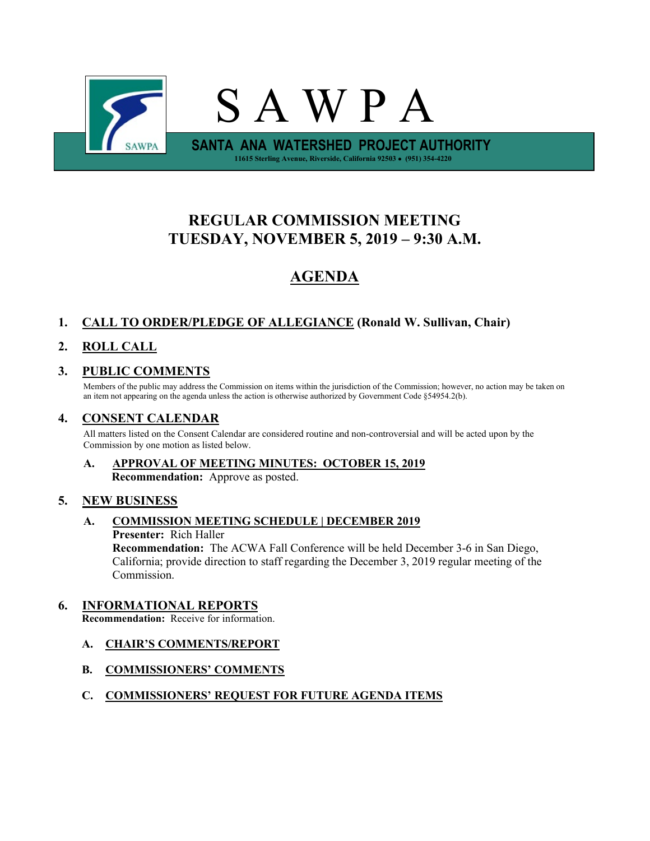

# **REGULAR COMMISSION MEETING TUESDAY, NOVEMBER 5, 2019 – 9:30 A.M.**

# **AGENDA**

## **1. CALL TO ORDER/PLEDGE OF ALLEGIANCE (Ronald W. Sullivan, Chair)**

# **2. ROLL CALL**

## **3. PUBLIC COMMENTS**

Members of the public may address the Commission on items within the jurisdiction of the Commission; however, no action may be taken on an item not appearing on the agenda unless the action is otherwise authorized by Government Code §54954.2(b).

## **4. CONSENT CALENDAR**

All matters listed on the Consent Calendar are considered routine and non-controversial and will be acted upon by the Commission by one motion as listed below.

### **A. APPROVAL OF MEETING MINUTES: OCTOBER 15, 2019 Recommendation:** Approve as posted.

### **5. NEW BUSINESS**

### **A. COMMISSION MEETING SCHEDULE | DECEMBER 2019**

**Presenter:** Rich Haller

**Recommendation:** The ACWA Fall Conference will be held December 3-6 in San Diego, California; provide direction to staff regarding the December 3, 2019 regular meeting of the Commission.

### **6. INFORMATIONAL REPORTS**

**Recommendation:** Receive for information.

- **A. CHAIR'S COMMENTS/REPORT**
- **B. COMMISSIONERS' COMMENTS**

#### **C. COMMISSIONERS' REQUEST FOR FUTURE AGENDA ITEMS**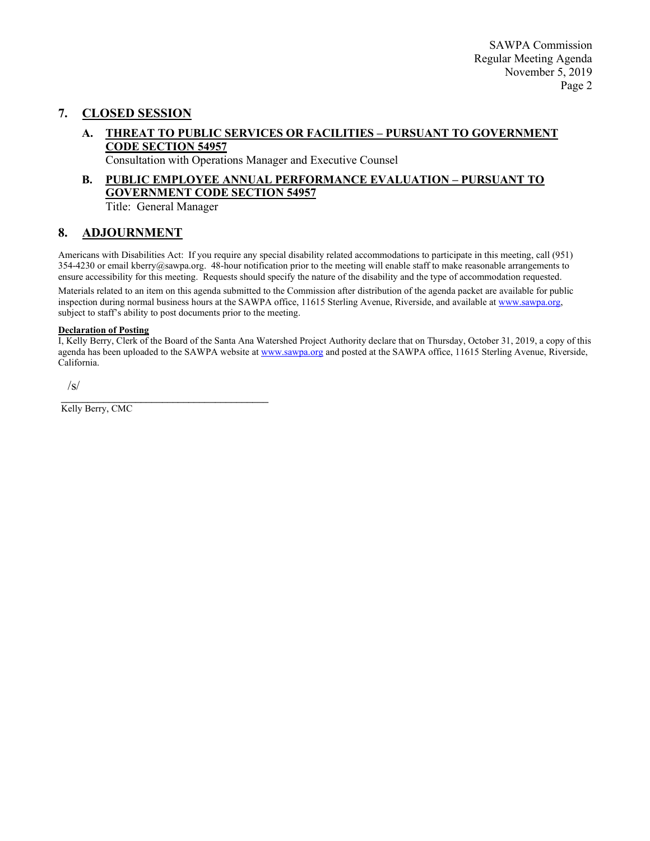#### **7. CLOSED SESSION**

**A. THREAT TO PUBLIC SERVICES OR FACILITIES – PURSUANT TO GOVERNMENT CODE SECTION 54957**

Consultation with Operations Manager and Executive Counsel

#### **B. PUBLIC EMPLOYEE ANNUAL PERFORMANCE EVALUATION – PURSUANT TO GOVERNMENT CODE SECTION 54957** Title: General Manager

#### **8. ADJOURNMENT**

Americans with Disabilities Act: If you require any special disability related accommodations to participate in this meeting, call (951)  $354-4230$  or email kberry@sawpa.org. 48-hour notification prior to the meeting will enable staff to make reasonable arrangements to ensure accessibility for this meeting. Requests should specify the nature of the disability and the type of accommodation requested. Materials related to an item on this agenda submitted to the Commission after distribution of the agenda packet are available for public inspection during normal business hours at the SAWPA office, 11615 Sterling Avenue, Riverside, and available a[t www.sawpa.org,](http://www.sawpa.org/) subject to staff's ability to post documents prior to the meeting.

#### **Declaration of Posting**

I, Kelly Berry, Clerk of the Board of the Santa Ana Watershed Project Authority declare that on Thursday, October 31, 2019, a copy of this agenda has been uploaded to the SAWPA website at [www.sawpa.org](http://www.sawpa.org/) and posted at the SAWPA office, 11615 Sterling Avenue, Riverside, California.

/s/

\_\_\_\_\_\_\_\_\_\_\_\_\_\_\_\_\_\_\_\_\_\_\_\_\_\_\_\_\_\_\_\_\_\_\_\_\_\_\_ Kelly Berry, CMC